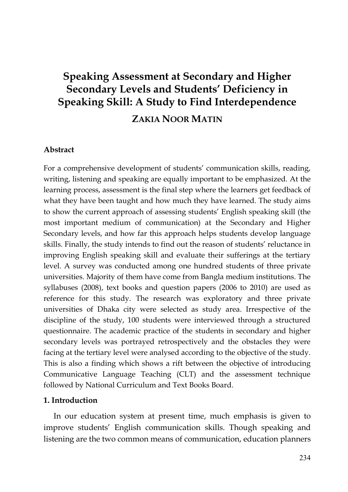# **Speaking Assessment at Secondary and Higher Secondary Levels and Students' Deficiency in Speaking Skill: A Study to Find Interdependence**

## **ZAKIA NOOR MATIN**

#### **Abstract**

For a comprehensive development of students' communication skills, reading, writing, listening and speaking are equally important to be emphasized. At the learning process, assessment is the final step where the learners get feedback of what they have been taught and how much they have learned. The study aims to show the current approach of assessing students' English speaking skill (the most important medium of communication) at the Secondary and Higher Secondary levels, and how far this approach helps students develop language skills. Finally, the study intends to find out the reason of students' reluctance in improving English speaking skill and evaluate their sufferings at the tertiary level. A survey was conducted among one hundred students of three private universities. Majority of them have come from Bangla medium institutions. The syllabuses (2008), text books and question papers (2006 to 2010) are used as reference for this study. The research was exploratory and three private universities of Dhaka city were selected as study area. Irrespective of the discipline of the study, 100 students were interviewed through a structured questionnaire. The academic practice of the students in secondary and higher secondary levels was portrayed retrospectively and the obstacles they were facing at the tertiary level were analysed according to the objective of the study. This is also a finding which shows a rift between the objective of introducing Communicative Language Teaching (CLT) and the assessment technique followed by National Curriculum and Text Books Board.

#### **1. Introduction**

In our education system at present time, much emphasis is given to improve students' English communication skills. Though speaking and listening are the two common means of communication, education planners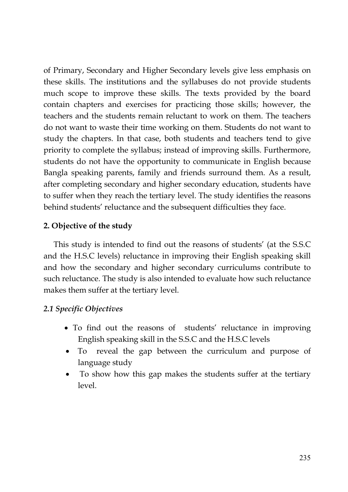of Primary, Secondary and Higher Secondary levels give less emphasis on these skills. The institutions and the syllabuses do not provide students much scope to improve these skills. The texts provided by the board contain chapters and exercises for practicing those skills; however, the teachers and the students remain reluctant to work on them. The teachers do not want to waste their time working on them. Students do not want to study the chapters. In that case, both students and teachers tend to give priority to complete the syllabus; instead of improving skills. Furthermore, students do not have the opportunity to communicate in English because Bangla speaking parents, family and friends surround them. As a result, after completing secondary and higher secondary education, students have to suffer when they reach the tertiary level. The study identifies the reasons behind students' reluctance and the subsequent difficulties they face.

### **2. Objective of the study**

This study is intended to find out the reasons of students' (at the S.S.C and the H.S.C levels) reluctance in improving their English speaking skill and how the secondary and higher secondary curriculums contribute to such reluctance. The study is also intended to evaluate how such reluctance makes them suffer at the tertiary level.

### *2.1 Specific Objectives*

- To find out the reasons of students' reluctance in improving English speaking skill in the S.S.C and the H.S.C levels
- To reveal the gap between the curriculum and purpose of language study
- To show how this gap makes the students suffer at the tertiary level.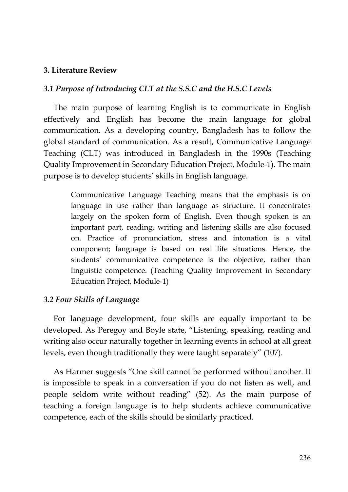### **3. Literature Review**

#### *3.1 Purpose of Introducing CLT at the S.S.C and the H.S.C Levels*

The main purpose of learning English is to communicate in English effectively and English has become the main language for global communication. As a developing country, Bangladesh has to follow the global standard of communication. As a result, Communicative Language Teaching (CLT) was introduced in Bangladesh in the 1990s (Teaching Quality Improvement in Secondary Education Project, Module-1). The main purpose is to develop students' skills in English language.

> Communicative Language Teaching means that the emphasis is on language in use rather than language as structure. It concentrates largely on the spoken form of English. Even though spoken is an important part, reading, writing and listening skills are also focused on. Practice of pronunciation, stress and intonation is a vital component; language is based on real life situations. Hence, the students' communicative competence is the objective, rather than linguistic competence. (Teaching Quality Improvement in Secondary Education Project, Module-1)

### *3.2 Four Skills of Language*

For language development, four skills are equally important to be developed. As Peregoy and Boyle state, "Listening, speaking, reading and writing also occur naturally together in learning events in school at all great levels, even though traditionally they were taught separately" (107).

As Harmer suggests "One skill cannot be performed without another. It is impossible to speak in a conversation if you do not listen as well, and people seldom write without reading" (52). As the main purpose of teaching a foreign language is to help students achieve communicative competence, each of the skills should be similarly practiced.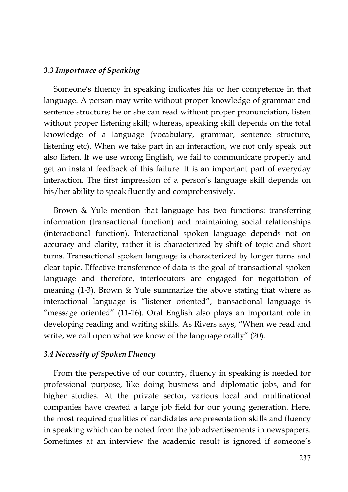#### *3.3 Importance of Speaking*

Someone's fluency in speaking indicates his or her competence in that language. A person may write without proper knowledge of grammar and sentence structure; he or she can read without proper pronunciation, listen without proper listening skill; whereas, speaking skill depends on the total knowledge of a language (vocabulary, grammar, sentence structure, listening etc). When we take part in an interaction, we not only speak but also listen. If we use wrong English, we fail to communicate properly and get an instant feedback of this failure. It is an important part of everyday interaction. The first impression of a person's language skill depends on his/her ability to speak fluently and comprehensively.

Brown & Yule mention that language has two functions: transferring information (transactional function) and maintaining social relationships (interactional function). Interactional spoken language depends not on accuracy and clarity, rather it is characterized by shift of topic and short turns. Transactional spoken language is characterized by longer turns and clear topic. Effective transference of data is the goal of transactional spoken language and therefore, interlocutors are engaged for negotiation of meaning (1-3). Brown & Yule summarize the above stating that where as interactional language is "listener oriented", transactional language is "message oriented" (11-16). Oral English also plays an important role in developing reading and writing skills. As Rivers says, "When we read and write, we call upon what we know of the language orally" (20).

### *3.4 Necessity of Spoken Fluency*

From the perspective of our country, fluency in speaking is needed for professional purpose, like doing business and diplomatic jobs, and for higher studies. At the private sector, various local and multinational companies have created a large job field for our young generation. Here, the most required qualities of candidates are presentation skills and fluency in speaking which can be noted from the job advertisements in newspapers. Sometimes at an interview the academic result is ignored if someone's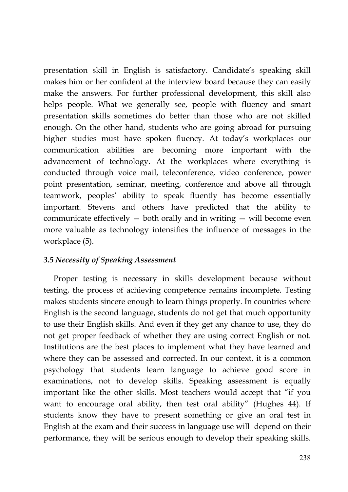presentation skill in English is satisfactory. Candidate's speaking skill makes him or her confident at the interview board because they can easily make the answers. For further professional development, this skill also helps people. What we generally see, people with fluency and smart presentation skills sometimes do better than those who are not skilled enough. On the other hand, students who are going abroad for pursuing higher studies must have spoken fluency. At today's workplaces our communication abilities are becoming more important with the advancement of technology. At the workplaces where everything is conducted through voice mail, teleconference, video conference, power point presentation, seminar, meeting, conference and above all through teamwork, peoples' ability to speak fluently has become essentially important. Stevens and others have predicted that the ability to communicate effectively  $-$  both orally and in writing  $-$  will become even more valuable as technology intensifies the influence of messages in the workplace (5).

### *3.5 Necessity of Speaking Assessment*

Proper testing is necessary in skills development because without testing, the process of achieving competence remains incomplete. Testing makes students sincere enough to learn things properly. In countries where English is the second language, students do not get that much opportunity to use their English skills. And even if they get any chance to use, they do not get proper feedback of whether they are using correct English or not. Institutions are the best places to implement what they have learned and where they can be assessed and corrected. In our context, it is a common psychology that students learn language to achieve good score in examinations, not to develop skills. Speaking assessment is equally important like the other skills. Most teachers would accept that "if you want to encourage oral ability, then test oral ability" (Hughes 44). If students know they have to present something or give an oral test in English at the exam and their success in language use will depend on their performance, they will be serious enough to develop their speaking skills.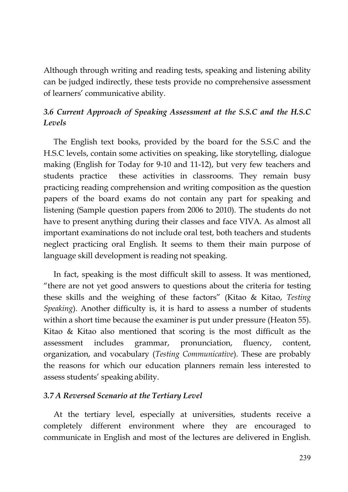Although through writing and reading tests, speaking and listening ability can be judged indirectly, these tests provide no comprehensive assessment of learners' communicative ability.

# *3.6 Current Approach of Speaking Assessment at the S.S.C and the H.S.C Levels*

The English text books, provided by the board for the S.S.C and the H.S.C levels, contain some activities on speaking, like storytelling, dialogue making (English for Today for 9-10 and 11-12), but very few teachers and students practice these activities in classrooms. They remain busy practicing reading comprehension and writing composition as the question papers of the board exams do not contain any part for speaking and listening (Sample question papers from 2006 to 2010). The students do not have to present anything during their classes and face VIVA. As almost all important examinations do not include oral test, both teachers and students neglect practicing oral English. It seems to them their main purpose of language skill development is reading not speaking.

In fact, speaking is the most difficult skill to assess. It was mentioned, "there are not yet good answers to questions about the criteria for testing these skills and the weighing of these factors" (Kitao & Kitao, *Testing Speaking*). Another difficulty is, it is hard to assess a number of students within a short time because the examiner is put under pressure (Heaton 55). Kitao & Kitao also mentioned that scoring is the most difficult as the assessment includes grammar, pronunciation, fluency, content, organization, and vocabulary (*Testing Communicative*). These are probably the reasons for which our education planners remain less interested to assess students' speaking ability.

### *3.7 A Reversed Scenario at the Tertiary Level*

At the tertiary level, especially at universities, students receive a completely different environment where they are encouraged to communicate in English and most of the lectures are delivered in English.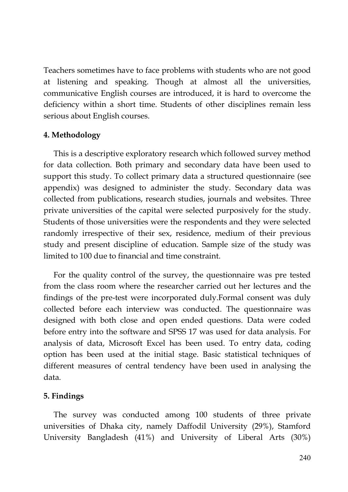Teachers sometimes have to face problems with students who are not good at listening and speaking. Though at almost all the universities, communicative English courses are introduced, it is hard to overcome the deficiency within a short time. Students of other disciplines remain less serious about English courses.

### **4. Methodology**

This is a descriptive exploratory research which followed survey method for data collection. Both primary and secondary data have been used to support this study. To collect primary data a structured questionnaire (see appendix) was designed to administer the study. Secondary data was collected from publications, research studies, journals and websites. Three private universities of the capital were selected purposively for the study. Students of those universities were the respondents and they were selected randomly irrespective of their sex, residence, medium of their previous study and present discipline of education. Sample size of the study was limited to 100 due to financial and time constraint.

For the quality control of the survey, the questionnaire was pre tested from the class room where the researcher carried out her lectures and the findings of the pre-test were incorporated duly.Formal consent was duly collected before each interview was conducted. The questionnaire was designed with both close and open ended questions. Data were coded before entry into the software and SPSS 17 was used for data analysis. For analysis of data, Microsoft Excel has been used. To entry data, coding option has been used at the initial stage. Basic statistical techniques of different measures of central tendency have been used in analysing the data.

### **5. Findings**

The survey was conducted among 100 students of three private universities of Dhaka city, namely Daffodil University (29%), Stamford University Bangladesh (41%) and University of Liberal Arts (30%)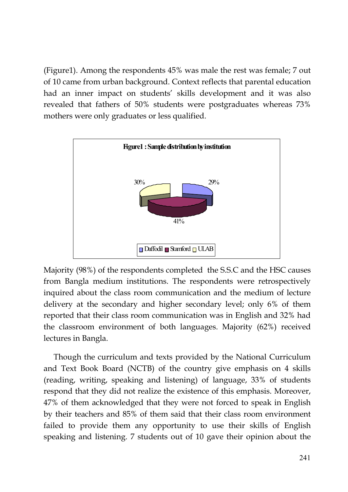(Figure1). Among the respondents 45% was male the rest was female; 7 out of 10 came from urban background. Context reflects that parental education had an inner impact on students' skills development and it was also revealed that fathers of 50% students were postgraduates whereas 73% mothers were only graduates or less qualified.



Majority (98%) of the respondents completed the S.S.C and the HSC causes from Bangla medium institutions. The respondents were retrospectively inquired about the class room communication and the medium of lecture delivery at the secondary and higher secondary level; only 6% of them reported that their class room communication was in English and 32% had the classroom environment of both languages. Majority (62%) received lectures in Bangla.

Though the curriculum and texts provided by the National Curriculum and Text Book Board (NCTB) of the country give emphasis on 4 skills (reading, writing, speaking and listening) of language, 33% of students respond that they did not realize the existence of this emphasis. Moreover, 47% of them acknowledged that they were not forced to speak in English by their teachers and 85% of them said that their class room environment failed to provide them any opportunity to use their skills of English speaking and listening. 7 students out of 10 gave their opinion about the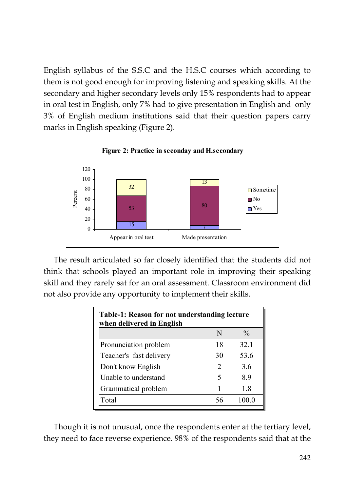English syllabus of the S.S.C and the H.S.C courses which according to them is not good enough for improving listening and speaking skills. At the secondary and higher secondary levels only 15% respondents had to appear in oral test in English, only 7% had to give presentation in English and only 3% of English medium institutions said that their question papers carry marks in English speaking (Figure 2).



The result articulated so far closely identified that the students did not think that schools played an important role in improving their speaking skill and they rarely sat for an oral assessment. Classroom environment did not also provide any opportunity to implement their skills.

| Table-1: Reason for not understanding lecture<br>when delivered in English |    |               |  |
|----------------------------------------------------------------------------|----|---------------|--|
|                                                                            | N  | $\frac{0}{0}$ |  |
| Pronunciation problem                                                      | 18 | 32.1          |  |
| Teacher's fast delivery                                                    | 30 | 53.6          |  |
| Don't know English                                                         | 2  | 3.6           |  |
| Unable to understand                                                       | 5  | 89            |  |
| Grammatical problem                                                        |    | 1.8           |  |
| Total                                                                      | 56 | 10000         |  |

Though it is not unusual, once the respondents enter at the tertiary level, they need to face reverse experience. 98% of the respondents said that at the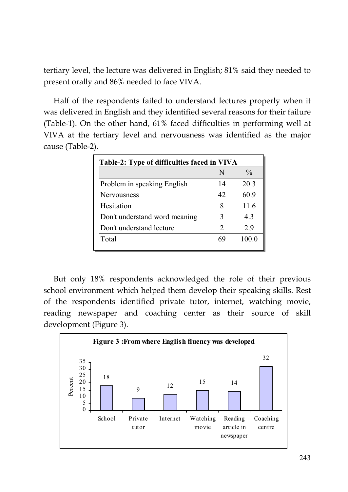tertiary level, the lecture was delivered in English; 81% said they needed to present orally and 86% needed to face VIVA.

Half of the respondents failed to understand lectures properly when it was delivered in English and they identified several reasons for their failure (Table-1). On the other hand, 61% faced difficulties in performing well at VIVA at the tertiary level and nervousness was identified as the major cause (Table-2).

| Table-2: Type of difficulties faced in VIVA |                             |               |
|---------------------------------------------|-----------------------------|---------------|
|                                             | N                           | $\frac{0}{0}$ |
| Problem in speaking English                 | 14                          | 20.3          |
| <b>Nervousness</b>                          | 42                          | 60.9          |
| Hesitation                                  | 8                           | 11.6          |
| Don't understand word meaning               | 3                           | 43            |
| Don't understand lecture                    | $\mathcal{D}_{\mathcal{A}}$ | 29            |
| Total                                       | 69                          | 100.0         |
|                                             |                             |               |

But only 18% respondents acknowledged the role of their previous school environment which helped them develop their speaking skills. Rest of the respondents identified private tutor, internet, watching movie, reading newspaper and coaching center as their source of skill development (Figure 3).

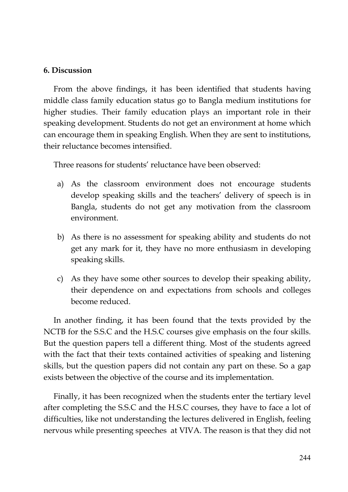### **6. Discussion**

From the above findings, it has been identified that students having middle class family education status go to Bangla medium institutions for higher studies. Their family education plays an important role in their speaking development. Students do not get an environment at home which can encourage them in speaking English. When they are sent to institutions, their reluctance becomes intensified.

Three reasons for students' reluctance have been observed:

- a) As the classroom environment does not encourage students develop speaking skills and the teachers' delivery of speech is in Bangla, students do not get any motivation from the classroom environment.
- b) As there is no assessment for speaking ability and students do not get any mark for it, they have no more enthusiasm in developing speaking skills.
- c) As they have some other sources to develop their speaking ability, their dependence on and expectations from schools and colleges become reduced.

In another finding, it has been found that the texts provided by the NCTB for the S.S.C and the H.S.C courses give emphasis on the four skills. But the question papers tell a different thing. Most of the students agreed with the fact that their texts contained activities of speaking and listening skills, but the question papers did not contain any part on these. So a gap exists between the objective of the course and its implementation.

Finally, it has been recognized when the students enter the tertiary level after completing the S.S.C and the H.S.C courses, they have to face a lot of difficulties, like not understanding the lectures delivered in English, feeling nervous while presenting speeches at VIVA. The reason is that they did not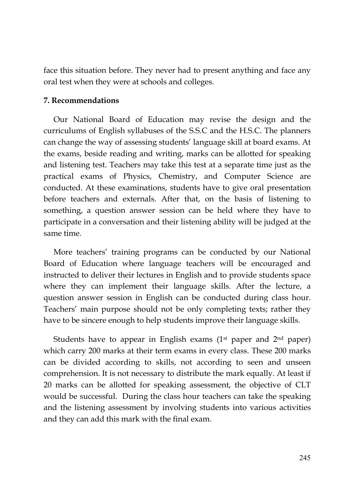face this situation before. They never had to present anything and face any oral test when they were at schools and colleges.

### **7. Recommendations**

Our National Board of Education may revise the design and the curriculums of English syllabuses of the S.S.C and the H.S.C. The planners can change the way of assessing students' language skill at board exams. At the exams, beside reading and writing, marks can be allotted for speaking and listening test. Teachers may take this test at a separate time just as the practical exams of Physics, Chemistry, and Computer Science are conducted. At these examinations, students have to give oral presentation before teachers and externals. After that, on the basis of listening to something, a question answer session can be held where they have to participate in a conversation and their listening ability will be judged at the same time.

More teachers' training programs can be conducted by our National Board of Education where language teachers will be encouraged and instructed to deliver their lectures in English and to provide students space where they can implement their language skills. After the lecture, a question answer session in English can be conducted during class hour. Teachers' main purpose should not be only completing texts; rather they have to be sincere enough to help students improve their language skills.

Students have to appear in English exams  $(1<sup>st</sup>$  paper and  $2<sup>nd</sup>$  paper) which carry 200 marks at their term exams in every class. These 200 marks can be divided according to skills, not according to seen and unseen comprehension. It is not necessary to distribute the mark equally. At least if 20 marks can be allotted for speaking assessment, the objective of CLT would be successful. During the class hour teachers can take the speaking and the listening assessment by involving students into various activities and they can add this mark with the final exam.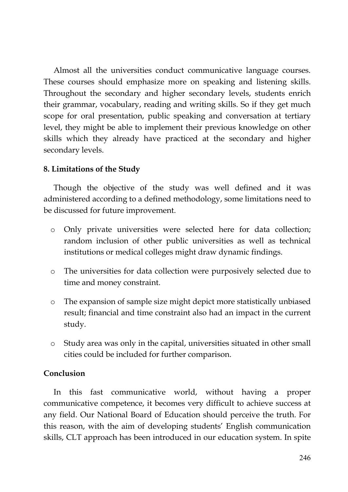Almost all the universities conduct communicative language courses. These courses should emphasize more on speaking and listening skills. Throughout the secondary and higher secondary levels, students enrich their grammar, vocabulary, reading and writing skills. So if they get much scope for oral presentation, public speaking and conversation at tertiary level, they might be able to implement their previous knowledge on other skills which they already have practiced at the secondary and higher secondary levels.

### **8. Limitations of the Study**

Though the objective of the study was well defined and it was administered according to a defined methodology, some limitations need to be discussed for future improvement.

- o Only private universities were selected here for data collection; random inclusion of other public universities as well as technical institutions or medical colleges might draw dynamic findings.
- o The universities for data collection were purposively selected due to time and money constraint.
- o The expansion of sample size might depict more statistically unbiased result; financial and time constraint also had an impact in the current study.
- o Study area was only in the capital, universities situated in other small cities could be included for further comparison.

### **Conclusion**

In this fast communicative world, without having a proper communicative competence, it becomes very difficult to achieve success at any field. Our National Board of Education should perceive the truth. For this reason, with the aim of developing students' English communication skills, CLT approach has been introduced in our education system. In spite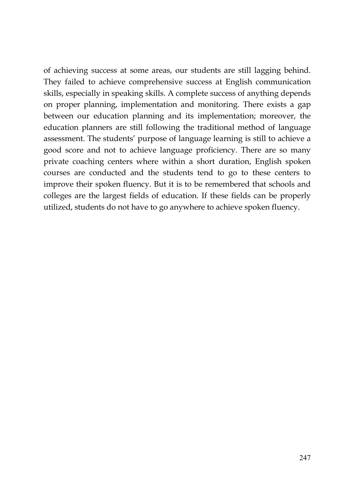of achieving success at some areas, our students are still lagging behind. They failed to achieve comprehensive success at English communication skills, especially in speaking skills. A complete success of anything depends on proper planning, implementation and monitoring. There exists a gap between our education planning and its implementation; moreover, the education planners are still following the traditional method of language assessment. The students' purpose of language learning is still to achieve a good score and not to achieve language proficiency. There are so many private coaching centers where within a short duration, English spoken courses are conducted and the students tend to go to these centers to improve their spoken fluency. But it is to be remembered that schools and colleges are the largest fields of education. If these fields can be properly utilized, students do not have to go anywhere to achieve spoken fluency.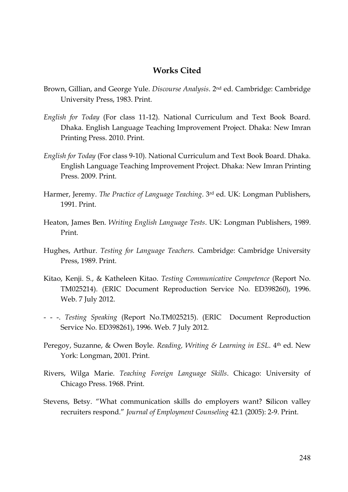### **Works Cited**

- Brown, Gillian, and George Yule. *Discourse Analysis*. 2nd ed. Cambridge: Cambridge University Press, 1983. Print.
- *English for Today* (For class 11-12). National Curriculum and Text Book Board. Dhaka. English Language Teaching Improvement Project. Dhaka: New Imran Printing Press. 2010. Print.
- *English for Today* (For class 9-10). National Curriculum and Text Book Board. Dhaka. English Language Teaching Improvement Project. Dhaka: New Imran Printing Press. 2009. Print.
- Harmer, Jeremy. *The Practice of Language Teaching*. 3rd ed. UK: Longman Publishers, 1991. Print.
- Heaton, James Ben. *Writing English Language Tests*. UK: Longman Publishers, 1989. Print.
- Hughes, Arthur. *Testing for Language Teachers.* Cambridge: Cambridge University Press, 1989. Print.
- Kitao, Kenji. S., & Katheleen Kitao. *Testing Communicative Competence* (Report No. TM025214). (ERIC Document Reproduction Service No. ED398260), 1996. Web. 7 July 2012.
- - -. *Testing Speaking* (Report No.TM025215). (ERIC Document Reproduction Service No. ED398261), 1996. Web. 7 July 2012.
- Peregoy, Suzanne, & Owen Boyle. *Reading, Writing & Learning in ESL*. 4<sup>th</sup> ed. New York: Longman, 2001. Print.
- Rivers, Wilga Marie. *Teaching Foreign Language Skills*. Chicago: University of Chicago Press. 1968. Print.
- Stevens, Betsy. "What communication skills do employers want? **S**ilicon valley recruiters respond." *Journal of Employment Counseling* 42.1 (2005): 2-9. Print.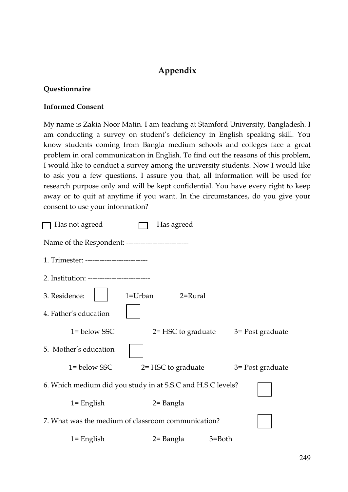# **Appendix**

### **Questionnaire**

### **Informed Consent**

My name is Zakia Noor Matin. I am teaching at Stamford University, Bangladesh. I am conducting a survey on student's deficiency in English speaking skill. You know students coming from Bangla medium schools and colleges face a great problem in oral communication in English. To find out the reasons of this problem, I would like to conduct a survey among the university students. Now I would like to ask you a few questions. I assure you that, all information will be used for research purpose only and will be kept confidential. You have every right to keep away or to quit at anytime if you want. In the circumstances, do you give your consent to use your information?

| Has not agreed                                              | Has agreed                                |  |  |
|-------------------------------------------------------------|-------------------------------------------|--|--|
| Name of the Respondent: --------------------------          |                                           |  |  |
| 1. Trimester: --------------------------                    |                                           |  |  |
| 2. Institution: ---------------------------                 |                                           |  |  |
| 3. Residence:<br>1=Urban                                    | $2 =$ Rural                               |  |  |
| 4. Father's education                                       |                                           |  |  |
| $1 =$ below SSC.                                            | $2 = HSC$ to graduate $3 = Post$ graduate |  |  |
| 5. Mother's education                                       |                                           |  |  |
| 1= below SSC                                                | $2 = HSC$ to graduate $3 = Post$ graduate |  |  |
| 6. Which medium did you study in at S.S.C and H.S.C levels? |                                           |  |  |
| $1 =$ English                                               | 2= Bangla                                 |  |  |
| 7. What was the medium of classroom communication?          |                                           |  |  |
| $1 =$ English                                               | 2= Bangla<br>3=Both                       |  |  |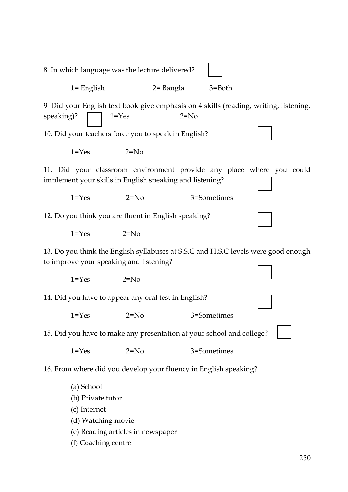8. In which language was the lecture delivered?  $1 =$  English  $2 =$  Bangla 9. Did your English text book give emphasis on 4 skills (reading, writing, listening, b speaking)?  $1 = Yes$  2=No 10. Did your teachers force you to speak in English? 1  $1 = Y_{\text{es}}$   $2 = N_0$ 11. Did your classroom environment provide any place where you could implement your skills in English speaking and listening? q 1=Yes 2=No 3=Sometimes 12. Do you think you are fluent in English speaking?  $1 = Y$ es  $2 = N_0$ 13. Do you think the English syllabuses at S.S.C and H.S.C levels were good enough q to improve your speaking and listening?  $1 = Y_{\text{PS}}$   $2 = N_0$ 14. Did you have to appear any oral test in English? 1=Yes 2=No 3=Sometimes 15. Did you have to make any presentation at your school and college? 1=Yes 2=No 3=Sometimes 16. From where did you develop your fluency in English speaking? (a) School (b) Private tutor (c) Internet (d) Watching movie (e) Reading articles in newspaper (f) Coaching centre <sup>-</sup> b .<br>Pr b b m Zj b b m g Zj b b q m g b b  $e^{\gamma}$